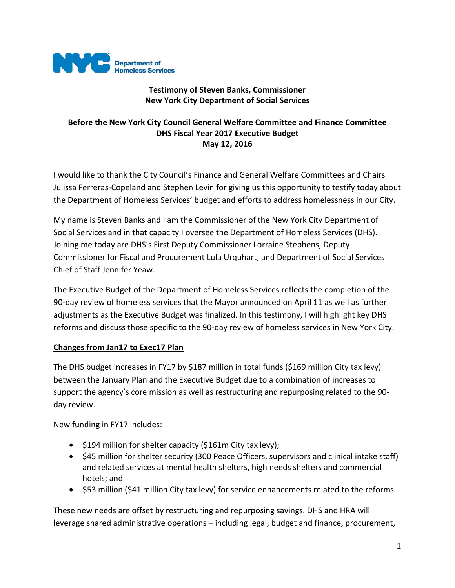

## **Testimony of Steven Banks, Commissioner New York City Department of Social Services**

## **Before the New York City Council General Welfare Committee and Finance Committee DHS Fiscal Year 2017 Executive Budget May 12, 2016**

I would like to thank the City Council's Finance and General Welfare Committees and Chairs Julissa Ferreras-Copeland and Stephen Levin for giving us this opportunity to testify today about the Department of Homeless Services' budget and efforts to address homelessness in our City.

My name is Steven Banks and I am the Commissioner of the New York City Department of Social Services and in that capacity I oversee the Department of Homeless Services (DHS). Joining me today are DHS's First Deputy Commissioner Lorraine Stephens, Deputy Commissioner for Fiscal and Procurement Lula Urquhart, and Department of Social Services Chief of Staff Jennifer Yeaw.

The Executive Budget of the Department of Homeless Services reflects the completion of the 90-day review of homeless services that the Mayor announced on April 11 as well as further adjustments as the Executive Budget was finalized. In this testimony, I will highlight key DHS reforms and discuss those specific to the 90-day review of homeless services in New York City.

### **Changes from Jan17 to Exec17 Plan**

The DHS budget increases in FY17 by \$187 million in total funds (\$169 million City tax levy) between the January Plan and the Executive Budget due to a combination of increases to support the agency's core mission as well as restructuring and repurposing related to the 90 day review.

New funding in FY17 includes:

- $\bullet$  \$194 million for shelter capacity (\$161m City tax levy);
- \$45 million for shelter security (300 Peace Officers, supervisors and clinical intake staff) and related services at mental health shelters, high needs shelters and commercial hotels; and
- \$53 million (\$41 million City tax levy) for service enhancements related to the reforms.

These new needs are offset by restructuring and repurposing savings. DHS and HRA will leverage shared administrative operations – including legal, budget and finance, procurement,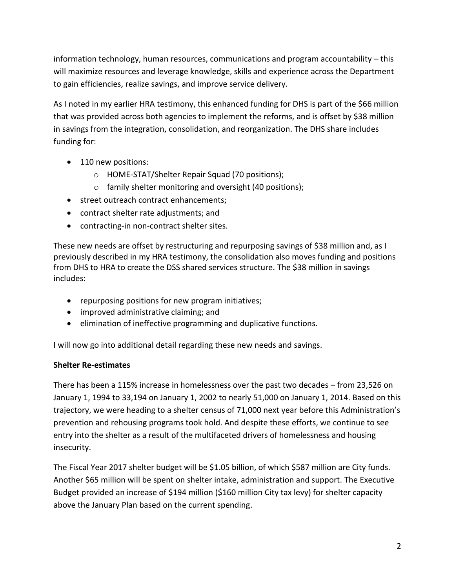information technology, human resources, communications and program accountability – this will maximize resources and leverage knowledge, skills and experience across the Department to gain efficiencies, realize savings, and improve service delivery.

As I noted in my earlier HRA testimony, this enhanced funding for DHS is part of the \$66 million that was provided across both agencies to implement the reforms, and is offset by \$38 million in savings from the integration, consolidation, and reorganization. The DHS share includes funding for:

- 110 new positions:
	- o HOME-STAT/Shelter Repair Squad (70 positions);
	- o family shelter monitoring and oversight (40 positions);
- street outreach contract enhancements;
- contract shelter rate adjustments; and
- contracting-in non-contract shelter sites.

These new needs are offset by restructuring and repurposing savings of \$38 million and, as I previously described in my HRA testimony, the consolidation also moves funding and positions from DHS to HRA to create the DSS shared services structure. The \$38 million in savings includes:

- repurposing positions for new program initiatives;
- improved administrative claiming; and
- elimination of ineffective programming and duplicative functions.

I will now go into additional detail regarding these new needs and savings.

### **Shelter Re-estimates**

There has been a 115% increase in homelessness over the past two decades – from 23,526 on January 1, 1994 to 33,194 on January 1, 2002 to nearly 51,000 on January 1, 2014. Based on this trajectory, we were heading to a shelter census of 71,000 next year before this Administration's prevention and rehousing programs took hold. And despite these efforts, we continue to see entry into the shelter as a result of the multifaceted drivers of homelessness and housing insecurity.

The Fiscal Year 2017 shelter budget will be \$1.05 billion, of which \$587 million are City funds. Another \$65 million will be spent on shelter intake, administration and support. The Executive Budget provided an increase of \$194 million (\$160 million City tax levy) for shelter capacity above the January Plan based on the current spending.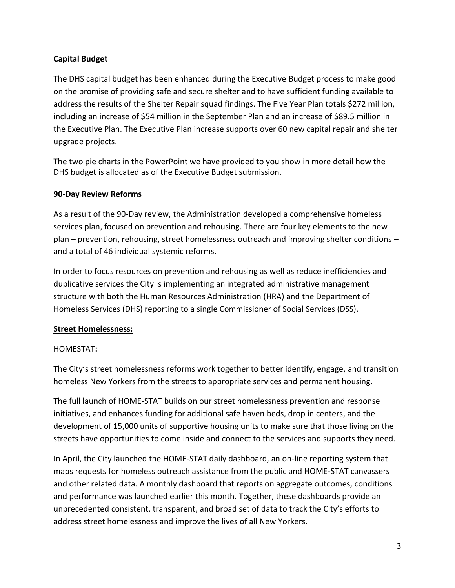## **Capital Budget**

The DHS capital budget has been enhanced during the Executive Budget process to make good on the promise of providing safe and secure shelter and to have sufficient funding available to address the results of the Shelter Repair squad findings. The Five Year Plan totals \$272 million, including an increase of \$54 million in the September Plan and an increase of \$89.5 million in the Executive Plan. The Executive Plan increase supports over 60 new capital repair and shelter upgrade projects.

The two pie charts in the PowerPoint we have provided to you show in more detail how the DHS budget is allocated as of the Executive Budget submission.

### **90-Day Review Reforms**

As a result of the 90-Day review, the Administration developed a comprehensive homeless services plan, focused on prevention and rehousing. There are four key elements to the new plan – prevention, rehousing, street homelessness outreach and improving shelter conditions – and a total of 46 individual systemic reforms.

In order to focus resources on prevention and rehousing as well as reduce inefficiencies and duplicative services the City is implementing an integrated administrative management structure with both the Human Resources Administration (HRA) and the Department of Homeless Services (DHS) reporting to a single Commissioner of Social Services (DSS).

### **Street Homelessness:**

# HOMESTAT**:**

The City's street homelessness reforms work together to better identify, engage, and transition homeless New Yorkers from the streets to appropriate services and permanent housing.

The full launch of HOME-STAT builds on our street homelessness prevention and response initiatives, and enhances funding for additional safe haven beds, drop in centers, and the development of 15,000 units of supportive housing units to make sure that those living on the streets have opportunities to come inside and connect to the services and supports they need.

In April, the City launched the HOME-STAT daily dashboard, an on-line reporting system that maps requests for homeless outreach assistance from the public and HOME-STAT canvassers and other related data. A monthly dashboard that reports on aggregate outcomes, conditions and performance was launched earlier this month. Together, these dashboards provide an unprecedented consistent, transparent, and broad set of data to track the City's efforts to address street homelessness and improve the lives of all New Yorkers.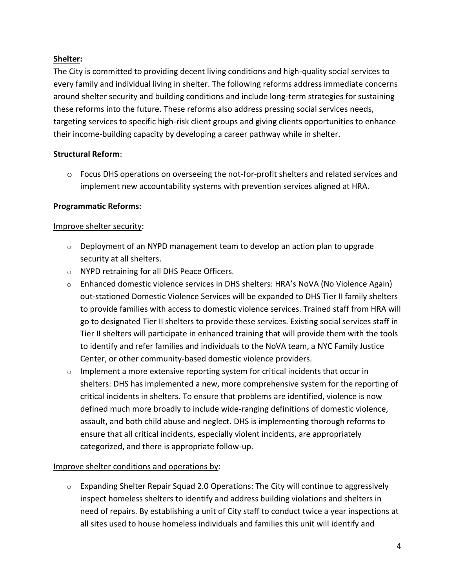## **Shelter:**

The City is committed to providing decent living conditions and high-quality social services to every family and individual living in shelter. The following reforms address immediate concerns around shelter security and building conditions and include long-term strategies for sustaining these reforms into the future. These reforms also address pressing social services needs, targeting services to specific high-risk client groups and giving clients opportunities to enhance their income-building capacity by developing a career pathway while in shelter.

## **Structural Reform**:

o Focus DHS operations on overseeing the not-for-profit shelters and related services and implement new accountability systems with prevention services aligned at HRA.

## **Programmatic Reforms:**

### Improve shelter security:

- $\circ$  Deployment of an NYPD management team to develop an action plan to upgrade security at all shelters.
- o NYPD retraining for all DHS Peace Officers.
- $\circ$  Enhanced domestic violence services in DHS shelters: HRA's NoVA (No Violence Again) out-stationed Domestic Violence Services will be expanded to DHS Tier II family shelters to provide families with access to domestic violence services. Trained staff from HRA will go to designated Tier II shelters to provide these services. Existing social services staff in Tier II shelters will participate in enhanced training that will provide them with the tools to identify and refer families and individuals to the NoVA team, a NYC Family Justice Center, or other community-based domestic violence providers.
- $\circ$  Implement a more extensive reporting system for critical incidents that occur in shelters: DHS has implemented a new, more comprehensive system for the reporting of critical incidents in shelters. To ensure that problems are identified, violence is now defined much more broadly to include wide-ranging definitions of domestic violence, assault, and both child abuse and neglect. DHS is implementing thorough reforms to ensure that all critical incidents, especially violent incidents, are appropriately categorized, and there is appropriate follow-up.

### Improve shelter conditions and operations by:

 $\circ$  Expanding Shelter Repair Squad 2.0 Operations: The City will continue to aggressively inspect homeless shelters to identify and address building violations and shelters in need of repairs. By establishing a unit of City staff to conduct twice a year inspections at all sites used to house homeless individuals and families this unit will identify and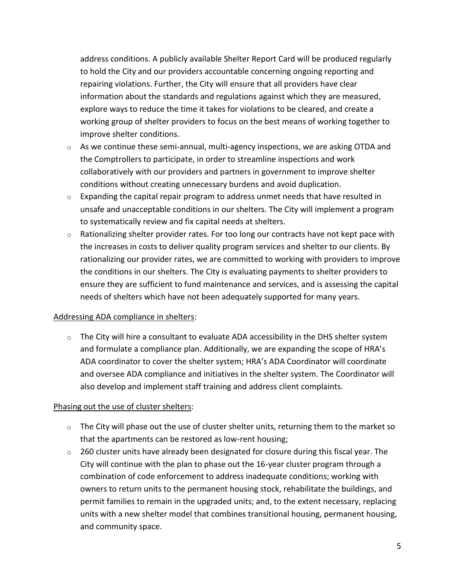address conditions. A publicly available Shelter Report Card will be produced regularly to hold the City and our providers accountable concerning ongoing reporting and repairing violations. Further, the City will ensure that all providers have clear information about the standards and regulations against which they are measured, explore ways to reduce the time it takes for violations to be cleared, and create a working group of shelter providers to focus on the best means of working together to improve shelter conditions.

- o As we continue these semi-annual, multi-agency inspections, we are asking OTDA and the Comptrollers to participate, in order to streamline inspections and work collaboratively with our providers and partners in government to improve shelter conditions without creating unnecessary burdens and avoid duplication.
- $\circ$  Expanding the capital repair program to address unmet needs that have resulted in unsafe and unacceptable conditions in our shelters. The City will implement a program to systematically review and fix capital needs at shelters.
- $\circ$  Rationalizing shelter provider rates. For too long our contracts have not kept pace with the increases in costs to deliver quality program services and shelter to our clients. By rationalizing our provider rates, we are committed to working with providers to improve the conditions in our shelters. The City is evaluating payments to shelter providers to ensure they are sufficient to fund maintenance and services, and is assessing the capital needs of shelters which have not been adequately supported for many years.

### Addressing ADA compliance in shelters:

 $\circ$  The City will hire a consultant to evaluate ADA accessibility in the DHS shelter system and formulate a compliance plan. Additionally, we are expanding the scope of HRA's ADA coordinator to cover the shelter system; HRA's ADA Coordinator will coordinate and oversee ADA compliance and initiatives in the shelter system. The Coordinator will also develop and implement staff training and address client complaints.

### Phasing out the use of cluster shelters:

- $\circ$  The City will phase out the use of cluster shelter units, returning them to the market so that the apartments can be restored as low-rent housing;
- $\circ$  260 cluster units have already been designated for closure during this fiscal year. The City will continue with the plan to phase out the 16-year cluster program through a combination of code enforcement to address inadequate conditions; working with owners to return units to the permanent housing stock, rehabilitate the buildings, and permit families to remain in the upgraded units; and, to the extent necessary, replacing units with a new shelter model that combines transitional housing, permanent housing, and community space.